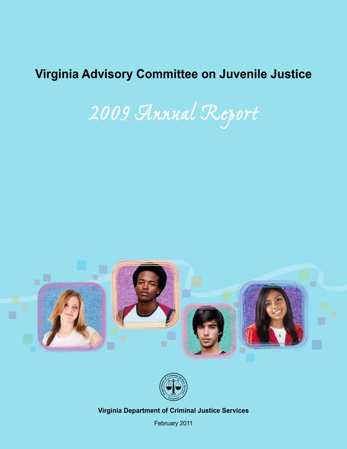# **Virginia Advisory Committee Virginia Advisory Committee on Juvenile Justice**

**on Juvenile Justice** *2009 Annual Report*





**Date 2010 Virginia Department of Criminal Justice Services**

February 2011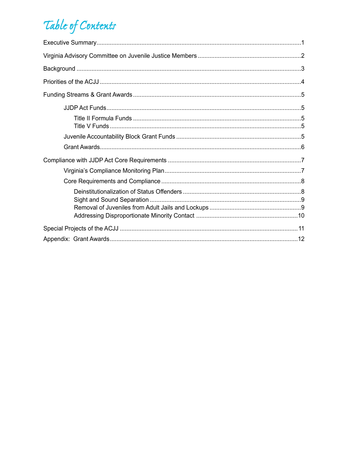# Table of Contents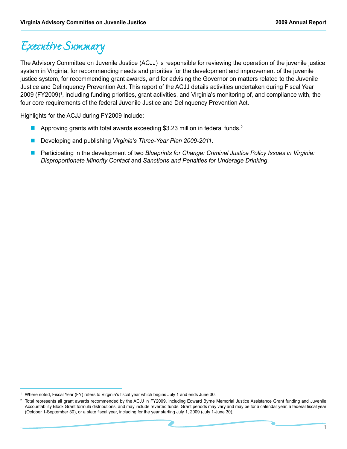## *Executive Summary*

The Advisory Committee on Juvenile Justice (ACJJ) is responsible for reviewing the operation of the juvenile justice system in Virginia, for recommending needs and priorities for the development and improvement of the juvenile justice system, for recommending grant awards, and for advising the Governor on matters related to the Juvenile Justice and Delinquency Prevention Act. This report of the ACJJ details activities undertaken during Fiscal Year 2009 (FY2009)<sup>1</sup>, including funding priorities, grant activities, and Virginia's monitoring of, and compliance with, the four core requirements of the federal Juvenile Justice and Delinquency Prevention Act.

Highlights for the ACJJ during FY2009 include:

- Approving grants with total awards exceeding \$3.23 million in federal funds.<sup>2</sup>
- n Developing and publishing *Virginia's Three-Year Plan 2009-2011*.
- n Participating in the development of two *Blueprints for Change: Criminal Justice Policy Issues in Virginia: Disproportionate Minority Contact* and *Sanctions and Penalties for Underage Drinking*.

<sup>1</sup> Where noted, Fiscal Year (FY) refers to Virginia's fiscal year which begins July 1 and ends June 30.

<sup>2</sup> Total represents all grant awards recommended by the ACJJ in FY2009, including Edward Byrne Memorial Justice Assistance Grant funding and Juvenile Accountability Block Grant formula distributions, and may include reverted funds. Grant periods may vary and may be for a calendar year, a federal fiscal year (October 1-September 30), or a state fiscal year, including for the year starting July 1, 2009 (July 1-June 30).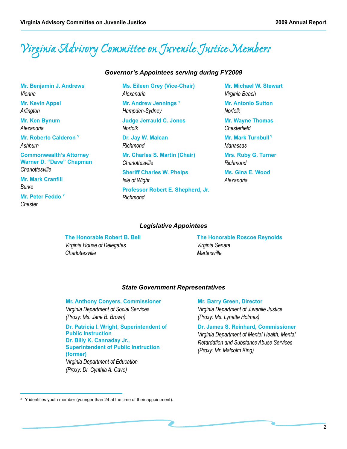# *Virginia Advisory Committee on Juvenile Justice Members*

#### *Governor's Appointees serving during FY2009*

**Mr. Benjamin J. Andrews** *Vienna* **Mr. Kevin Appel** *Arlington* **Mr. Ken Bynum**  *Alexandria* **Mr. Roberto Calderon Y** *Ashburn* **Commonwealth's Attorney Warner D. "Dave" Chapman**  *Charlottesville* **Mr. Mark Cranfill**  *Burke* **Mr. Peter Feddo Y** *Chester*

**Ms. Eileen Grey (Vice-Chair)** *Alexandria* **Mr. Andrew Jennings Y** *Hampden-Sydney* **Judge Jerrauld C. Jones**  *Norfolk* **Dr. Jay W. Malcan** *Richmond* **Mr. Charles S. Martin (Chair)** *Charlottesville* **Sheriff Charles W. Phelps**  *Isle of Wight* **Professor Robert E. Shepherd, Jr.** *Richmond*

**Mr. Michael W. Stewart** *Virginia Beach*

**Mr. Antonio Sutton**  *Norfolk*

**Mr. Wayne Thomas** *Chesterfield*

**Mr. Mark Turnbull Y** *Manassas*

**Mrs. Ruby G. Turner** *Richmond*

**Ms. Gina E. Wood** *Alexandria*

#### *Legislative Appointees*

**The Honorable Robert B. Bell** *Virginia House of Delegates Charlottesville*

**The Honorable Roscoe Reynolds** *Virginia Senate Martinsville*

#### *State Government Representatives*

**Mr. Anthony Conyers, Commissioner** *Virginia Department of Social Services (Proxy: Ms. Jane B. Brown)*

**Dr. Patricia I. Wright, Superintendent of Public Instruction Dr. Billy K. Cannaday Jr., Superintendent of Public Instruction (former)** *Virginia Department of Education (Proxy: Dr. Cynthia A. Cave)* 

#### **Mr. Barry Green, Director**

*Virginia Department of Juvenile Justice (Proxy: Ms. Lynette Holmes)*

**Dr. James S. Reinhard, Commissioner** *Virginia Department of Mental Health, Mental Retardation and Substance Abuse Services (Proxy: Mr. Malcolm King)*

 $3 \,$  Y identifies youth member (younger than 24 at the time of their appointment).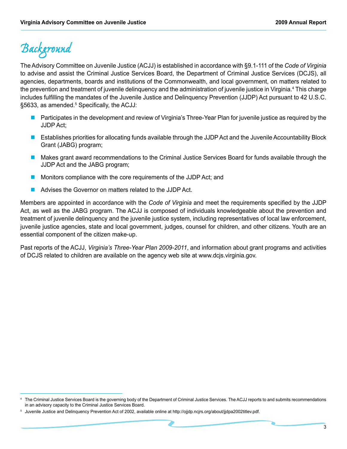# *Background*

The Advisory Committee on Juvenile Justice (ACJJ) is established in accordance with §9.1-111 of the *Code of Virginia*  to advise and assist the Criminal Justice Services Board, the Department of Criminal Justice Services (DCJS), all agencies, departments, boards and institutions of the Commonwealth, and local government, on matters related to the prevention and treatment of juvenile delinquency and the administration of juvenile justice in Virginia.<sup>4</sup> This charge includes fulfilling the mandates of the Juvenile Justice and Delinquency Prevention (JJDP) Act pursuant to 42 U.S.C. §5633, as amended.<sup>5</sup> Specifically, the ACJJ:

- n Participates in the development and review of Virginia's Three-Year Plan for juvenile justice as required by the JJDP Act;
- n Establishes priorities for allocating funds available through the JJDP Act and the Juvenile Accountability Block Grant (JABG) program;
- n Makes grant award recommendations to the Criminal Justice Services Board for funds available through the JJDP Act and the JABG program;
- Monitors compliance with the core requirements of the JJDP Act; and
- Advises the Governor on matters related to the JJDP Act.

Members are appointed in accordance with the *Code of Virginia* and meet the requirements specified by the JJDP Act, as well as the JABG program. The ACJJ is composed of individuals knowledgeable about the prevention and treatment of juvenile delinquency and the juvenile justice system, including representatives of local law enforcement, juvenile justice agencies, state and local government, judges, counsel for children, and other citizens. Youth are an essential component of the citizen make-up.

Past reports of the ACJJ, *Virginia's Three-Year Plan 2009-2011*, and information about grant programs and activities of DCJS related to children are available on the agency web site at www.dcjs.virginia.gov.

The Criminal Justice Services Board is the governing body of the Department of Criminal Justice Services. The ACJJ reports to and submits recommendations in an advisory capacity to the Criminal Justice Services Board.

<sup>5</sup> Juvenile Justice and Delinquency Prevention Act of 2002, available online at http://ojjdp.ncjrs.org/about/jjdpa2002titlev.pdf.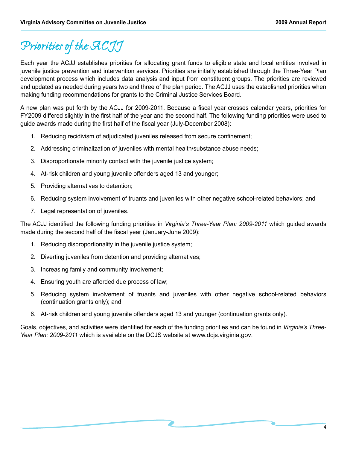# *Priorities of the ACJJ*

Each year the ACJJ establishes priorities for allocating grant funds to eligible state and local entities involved in juvenile justice prevention and intervention services. Priorities are initially established through the Three-Year Plan development process which includes data analysis and input from constituent groups. The priorities are reviewed and updated as needed during years two and three of the plan period. The ACJJ uses the established priorities when making funding recommendations for grants to the Criminal Justice Services Board.

A new plan was put forth by the ACJJ for 2009-2011. Because a fiscal year crosses calendar years, priorities for FY2009 differed slightly in the first half of the year and the second half. The following funding priorities were used to guide awards made during the first half of the fiscal year (July-December 2008):

- 1. Reducing recidivism of adjudicated juveniles released from secure confinement;
- 2. Addressing criminalization of juveniles with mental health/substance abuse needs;
- 3. Disproportionate minority contact with the juvenile justice system;
- 4. At-risk children and young juvenile offenders aged 13 and younger;
- 5. Providing alternatives to detention;
- 6. Reducing system involvement of truants and juveniles with other negative school-related behaviors; and
- 7. Legal representation of juveniles.

The ACJJ identified the following funding priorities in *Virginia's Three-Year Plan: 2009-2011* which guided awards made during the second half of the fiscal year (January-June 2009):

- 1. Reducing disproportionality in the juvenile justice system;
- 2. Diverting juveniles from detention and providing alternatives;
- 3. Increasing family and community involvement;
- 4. Ensuring youth are afforded due process of law;
- 5. Reducing system involvement of truants and juveniles with other negative school-related behaviors (continuation grants only); and
- 6. At-risk children and young juvenile offenders aged 13 and younger (continuation grants only).

Goals, objectives, and activities were identified for each of the funding priorities and can be found in *Virginia's Three-Year Plan: 2009-2011* which is available on the DCJS website at www.dcjs.virginia.gov.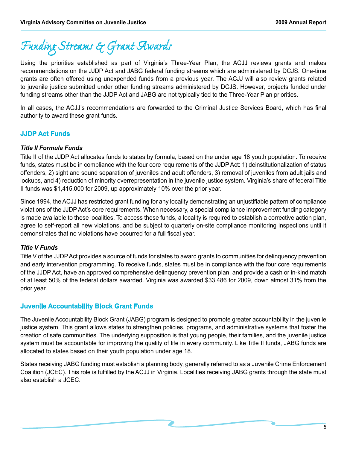*Funding Streams & Grant Awards*

Using the priorities established as part of Virginia's Three-Year Plan, the ACJJ reviews grants and makes recommendations on the JJDP Act and JABG federal funding streams which are administered by DCJS. One-time grants are often offered using unexpended funds from a previous year. The ACJJ will also review grants related to juvenile justice submitted under other funding streams administered by DCJS. However, projects funded under funding streams other than the JJDP Act and JABG are not typically tied to the Three-Year Plan priorities.

In all cases, the ACJJ's recommendations are forwarded to the Criminal Justice Services Board, which has final authority to award these grant funds.

### **JJDP Act Funds**

#### *Title II Formula Funds*

Title II of the JJDP Act allocates funds to states by formula, based on the under age 18 youth population. To receive funds, states must be in compliance with the four core requirements of the JJDP Act: 1) deinstitutionalization of status offenders, 2) sight and sound separation of juveniles and adult offenders, 3) removal of juveniles from adult jails and lockups, and 4) reduction of minority overrepresentation in the juvenile justice system. Virginia's share of federal Title II funds was \$1,415,000 for 2009, up approximately 10% over the prior year.

Since 1994, the ACJJ has restricted grant funding for any locality demonstrating an unjustifiable pattern of compliance violations of the JJDP Act's core requirements. When necessary, a special compliance improvement funding category is made available to these localities. To access these funds, a locality is required to establish a corrective action plan, agree to self-report all new violations, and be subject to quarterly on-site compliance monitoring inspections until it demonstrates that no violations have occurred for a full fiscal year.

### *Title V Funds*

Title V of the JJDP Act provides a source of funds for states to award grants to communities for delinquency prevention and early intervention programming. To receive funds, states must be in compliance with the four core requirements of the JJDP Act, have an approved comprehensive delinquency prevention plan, and provide a cash or in-kind match of at least 50% of the federal dollars awarded. Virginia was awarded \$33,486 for 2009, down almost 31% from the prior year.

### **Juvenile Accountability Block Grant Funds**

The Juvenile Accountability Block Grant (JABG) program is designed to promote greater accountability in the juvenile justice system. This grant allows states to strengthen policies, programs, and administrative systems that foster the creation of safe communities. The underlying supposition is that young people, their families, and the juvenile justice system must be accountable for improving the quality of life in every community. Like Title II funds, JABG funds are allocated to states based on their youth population under age 18.

States receiving JABG funding must establish a planning body, generally referred to as a Juvenile Crime Enforcement Coalition (JCEC). This role is fulfilled by the ACJJ in Virginia. Localities receiving JABG grants through the state must also establish a JCEC.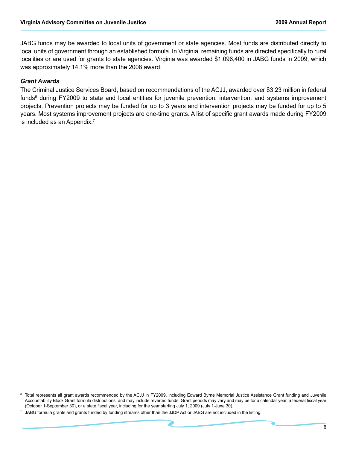JABG funds may be awarded to local units of government or state agencies. Most funds are distributed directly to local units of government through an established formula. In Virginia, remaining funds are directed specifically to rural localities or are used for grants to state agencies. Virginia was awarded \$1,096,400 in JABG funds in 2009, which was approximately 14.1% more than the 2008 award.

#### *Grant Awards*

The Criminal Justice Services Board, based on recommendations of the ACJJ, awarded over \$3.23 million in federal funds<sup>6</sup> during FY2009 to state and local entities for juvenile prevention, intervention, and systems improvement projects. Prevention projects may be funded for up to 3 years and intervention projects may be funded for up to 5 years. Most systems improvement projects are one-time grants. A list of specific grant awards made during FY2009 is included as an Appendix.<sup>7</sup>

<sup>6</sup> Total represents all grant awards recommended by the ACJJ in FY2009, including Edward Byrne Memorial Justice Assistance Grant funding and Juvenile Accountability Block Grant formula distributions, and may include reverted funds. Grant periods may vary and may be for a calendar year, a federal fiscal year (October 1-September 30), or a state fiscal year, including for the year starting July 1, 2009 (July 1-June 30).

JABG formula grants and grants funded by funding streams other than the JJDP Act or JABG are not included in the listing.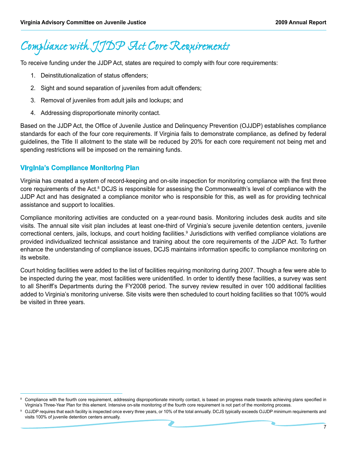## *Compliance with JJDP Act Core Requirements*

To receive funding under the JJDP Act, states are required to comply with four core requirements:

- 1. Deinstitutionalization of status offenders;
- 2. Sight and sound separation of juveniles from adult offenders;
- 3. Removal of juveniles from adult jails and lockups; and
- 4. Addressing disproportionate minority contact.

Based on the JJDP Act, the Office of Juvenile Justice and Delinquency Prevention (OJJDP) establishes compliance standards for each of the four core requirements. If Virginia fails to demonstrate compliance, as defined by federal guidelines, the Title II allotment to the state will be reduced by 20% for each core requirement not being met and spending restrictions will be imposed on the remaining funds.

### **Virginia's Compliance Monitoring Plan**

Virginia has created a system of record-keeping and on-site inspection for monitoring compliance with the first three core requirements of the Act.<sup>8</sup> DCJS is responsible for assessing the Commonwealth's level of compliance with the JJDP Act and has designated a compliance monitor who is responsible for this, as well as for providing technical assistance and support to localities.

Compliance monitoring activities are conducted on a year-round basis. Monitoring includes desk audits and site visits. The annual site visit plan includes at least one-third of Virginia's secure juvenile detention centers, juvenile correctional centers, jails, lockups, and court holding facilities.<sup>9</sup> Jurisdictions with verified compliance violations are provided individualized technical assistance and training about the core requirements of the JJDP Act. To further enhance the understanding of compliance issues, DCJS maintains information specific to compliance monitoring on its website.

Court holding facilities were added to the list of facilities requiring monitoring during 2007. Though a few were able to be inspected during the year, most facilities were unidentified. In order to identify these facilities, a survey was sent to all Sheriff's Departments during the FY2008 period. The survey review resulted in over 100 additional facilities added to Virginia's monitoring universe. Site visits were then scheduled to court holding facilities so that 100% would be visited in three years.

<sup>8</sup> Compliance with the fourth core requirement, addressing disproportionate minority contact, is based on progress made towards achieving plans specified in Virginia's Three-Year Plan for this element. Intensive on-site monitoring of the fourth core requirement is not part of the monitoring process.

OJJDP requires that each facility is inspected once every three years, or 10% of the total annually. DCJS typically exceeds OJJDP minimum requirements and visits 100% of juvenile detention centers annually.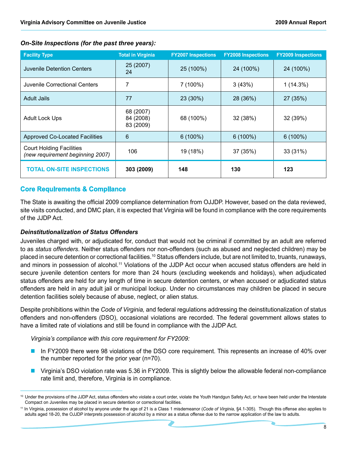| <b>Facility Type</b>                                                | <b>Total in Virginia</b>            | <b>FY2007 Inspections</b> | <b>FY2008 Inspections</b> | <b>FY2009 Inspections</b> |
|---------------------------------------------------------------------|-------------------------------------|---------------------------|---------------------------|---------------------------|
| Juvenile Detention Centers                                          | 25 (2007)<br>24                     | 25 (100%)                 | 24 (100%)                 | 24 (100%)                 |
| Juvenile Correctional Centers                                       | 7                                   | 7(100%)                   | 3(43%)                    | 1(14.3%)                  |
| <b>Adult Jails</b>                                                  | 77                                  | 23 (30%)                  | 28 (36%)                  | 27 (35%)                  |
| <b>Adult Lock Ups</b>                                               | 68 (2007)<br>84 (2008)<br>83 (2009) | 68 (100%)                 | 32 (38%)                  | 32 (39%)                  |
| <b>Approved Co-Located Facilities</b>                               | 6                                   | $6(100\%)$                | $6(100\%)$                | $6(100\%)$                |
| <b>Court Holding Facilities</b><br>(new requirement beginning 2007) | 106                                 | 19 (18%)                  | 37 (35%)                  | 33 (31%)                  |
| <b>TOTAL ON-SITE INSPECTIONS</b>                                    | 303 (2009)                          | 148                       | 130                       | 123                       |

#### *On-Site Inspections (for the past three years):*

### **Core Requirements & Compliance**

The State is awaiting the official 2009 compliance determination from OJJDP. However, based on the data reviewed, site visits conducted, and DMC plan, it is expected that Virginia will be found in compliance with the core requirements of the JJDP Act.

#### *Deinstitutionalization of Status Offenders*

Juveniles charged with, or adjudicated for, conduct that would not be criminal if committed by an adult are referred to as *status offenders*. Neither status offenders nor non-offenders (such as abused and neglected children) may be placed in secure detention or correctional facilities.10 Status offenders include, but are not limited to, truants, runaways, and minors in possession of alcohol.<sup>11</sup> Violations of the JJDP Act occur when accused status offenders are held in secure juvenile detention centers for more than 24 hours (excluding weekends and holidays), when adjudicated status offenders are held for any length of time in secure detention centers, or when accused or adjudicated status offenders are held in any adult jail or municipal lockup. Under no circumstances may children be placed in secure detention facilities solely because of abuse, neglect, or alien status.

Despite prohibitions within the *Code of Virginia,* and federal regulations addressing the deinstitutionalization of status offenders and non-offenders (DSO), occasional violations are recorded. The federal government allows states to have a limited rate of violations and still be found in compliance with the JJDP Act.

*Virginia's compliance with this core requirement for FY2009:*

- In FY2009 there were 98 violations of the DSO core requirement. This represents an increase of 40% over the number reported for the prior year (n=70).
- Virginia's DSO violation rate was 5.36 in FY2009. This is slightly below the allowable federal non-compliance rate limit and, therefore, Virginia is in compliance.

<sup>&</sup>lt;sup>10</sup> Under the provisions of the JJDP Act, status offenders who violate a court order, violate the Youth Handgun Safety Act, or have been held under the Interstate Compact on Juveniles may be placed in secure detention or correctional facilities.

<sup>11</sup> In Virginia, possession of alcohol by anyone under the age of 21 is a Class 1 misdemeanor (*Code of Virginia,* §4.1-305). Though this offense also applies to adults aged 18-20, the OJJDP interprets possession of alcohol by a minor as a status offense due to the narrow application of the law to adults.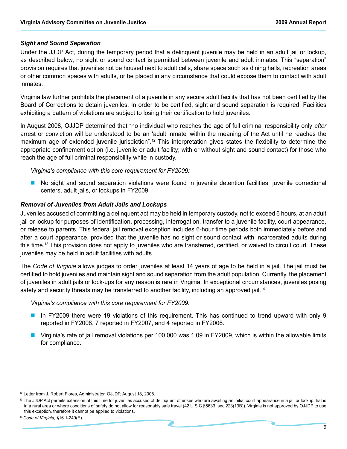#### *Sight and Sound Separation*

Under the JJDP Act, during the temporary period that a delinquent juvenile may be held in an adult jail or lockup, as described below, no sight or sound contact is permitted between juvenile and adult inmates. This "separation" provision requires that juveniles not be housed next to adult cells, share space such as dining halls, recreation areas or other common spaces with adults, or be placed in any circumstance that could expose them to contact with adult inmates.

Virginia law further prohibits the placement of a juvenile in any secure adult facility that has not been certified by the Board of Corrections to detain juveniles. In order to be certified, sight and sound separation is required. Facilities exhibiting a pattern of violations are subject to losing their certification to hold juveniles.

In August 2008, OJJDP determined that "no individual who reaches the age of full criminal responsibility only *after* arrest or conviction will be understood to be an 'adult inmate' within the meaning of the Act until he reaches the maximum age of extended juvenile jurisdiction".12 This interpretation gives states the flexibility to determine the appropriate confinement option (i.e. juvenile or adult facility; with or without sight and sound contact) for those who reach the age of full criminal responsibility while in custody.

*Virginia's compliance with this core requirement for FY2009:*

n No sight and sound separation violations were found in juvenile detention facilities, juvenile correctional centers, adult jails, or lockups in FY2009.

#### *Removal of Juveniles from Adult Jails and Lockups*

Juveniles accused of committing a delinquent act may be held in temporary custody, not to exceed 6 hours, at an adult jail or lockup for purposes of identification, processing, interrogation, transfer to a juvenile facility, court appearance, or release to parents. This federal jail removal exception includes 6-hour time periods both immediately before and after a court appearance, provided that the juvenile has no sight or sound contact with incarcerated adults during this time.13 This provision does not apply to juveniles who are transferred, certified, or waived to circuit court. These juveniles may be held in adult facilities with adults.

The *Code of Virginia* allows judges to order juveniles at least 14 years of age to be held in a jail. The jail must be certified to hold juveniles and maintain sight and sound separation from the adult population. Currently, the placement of juveniles in adult jails or lock-ups for any reason is rare in Virginia. In exceptional circumstances, juveniles posing safety and security threats may be transferred to another facility, including an approved jail.<sup>14</sup>

*Virginia's compliance with this core requirement for FY2009:*

- In FY2009 there were 19 violations of this requirement. This has continued to trend upward with only 9 reported in FY2008, 7 reported in FY2007, and 4 reported in FY2006.
- **n** Virginia's rate of jail removal violations per 100,000 was 1.09 in FY2009, which is within the allowable limits for compliance.

<sup>12</sup> Letter from J. Robert Flores, Administrator, OJJDP, August 18, 2008.

<sup>&</sup>lt;sup>13</sup> The JJDP Act permits extension of this time for juveniles accused of delinquent offenses who are awaiting an initial court appearance in a jail or lockup that is in a rural area or where conditions of safety do not allow for reasonably safe travel (42 U.S.C §5633, sec.223(13B)). Virginia is not approved by OJJDP to use this exception, therefore it cannot be applied to violations.

<sup>14</sup> *Code of Virginia,* §16.1-249(E).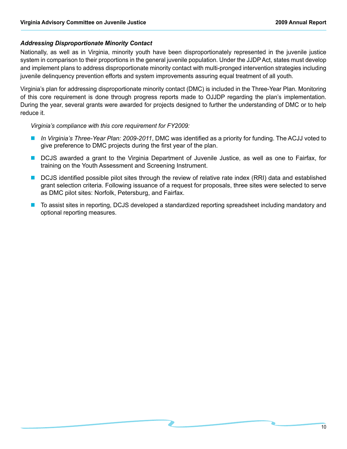#### *Addressing Disproportionate Minority Contact*

Nationally, as well as in Virginia, minority youth have been disproportionately represented in the juvenile justice system in comparison to their proportions in the general juvenile population. Under the JJDP Act, states must develop and implement plans to address disproportionate minority contact with multi-pronged intervention strategies including juvenile delinquency prevention efforts and system improvements assuring equal treatment of all youth.

Virginia's plan for addressing disproportionate minority contact (DMC) is included in the Three-Year Plan. Monitoring of this core requirement is done through progress reports made to OJJDP regarding the plan's implementation. During the year, several grants were awarded for projects designed to further the understanding of DMC or to help reduce it.

*Virginia's compliance with this core requirement for FY2009:*

- n *In Virginia's Three-Year Plan: 2009-2011*, DMC was identified as a priority for funding. The ACJJ voted to give preference to DMC projects during the first year of the plan.
- **n** DCJS awarded a grant to the Virginia Department of Juvenile Justice, as well as one to Fairfax, for training on the Youth Assessment and Screening Instrument.
- n DCJS identified possible pilot sites through the review of relative rate index (RRI) data and established grant selection criteria. Following issuance of a request for proposals, three sites were selected to serve as DMC pilot sites: Norfolk, Petersburg, and Fairfax.
- n To assist sites in reporting, DCJS developed a standardized reporting spreadsheet including mandatory and optional reporting measures.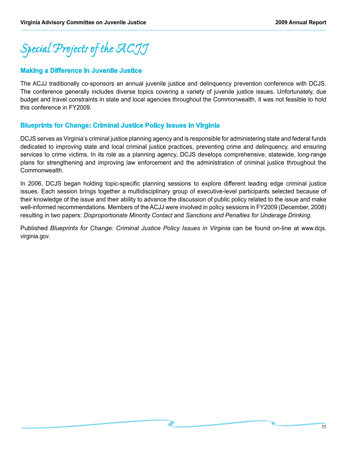*Special Projects of the ACJJ*

#### **Making a Difference in Juvenile Justice**

The ACJJ traditionally co-sponsors an annual juvenile justice and delinquency prevention conference with DCJS. The conference generally includes diverse topics covering a variety of juvenile justice issues. Unfortunately, due budget and travel constraints in state and local agencies throughout the Commonwealth, it was not feasible to hold this conference in FY2009.

#### **Blueprints for Change: Criminal Justice Policy Issues in Virginia**

DCJS serves as Virginia's criminal justice planning agency and is responsible for administering state and federal funds dedicated to improving state and local criminal justice practices, preventing crime and delinquency, and ensuring services to crime victims. In its role as a planning agency, DCJS develops comprehensive, statewide, long-range plans for strengthening and improving law enforcement and the administration of criminal justice throughout the Commonwealth.

In 2006, DCJS began holding topic-specific planning sessions to explore different leading edge criminal justice issues. Each session brings together a multidisciplinary group of executive-level participants selected because of their knowledge of the issue and their ability to advance the discussion of public policy related to the issue and make well-informed recommendations. Members of the ACJJ were involved in policy sessions in FY2009 (December, 2008) resulting in two papers: *Disproportionate Minority Contact* and *Sanctions and Penalties for Underage Drinking*.

Published *Blueprints for Change: Criminal Justice Policy Issues in Virginia* can be found on-line at www.dcjs. virginia.gov.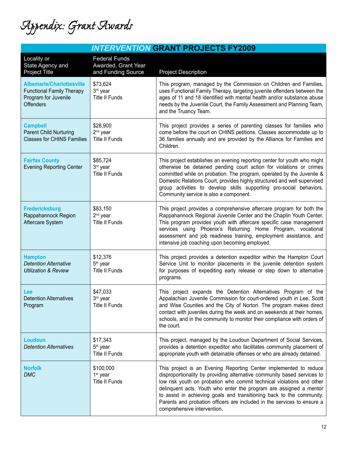*Appendix: Grant Awards*

| <b>INTERVENTION GRANT PROJECTS FY2009</b>                                                                        |                                                                   |                                                                                                                                                                                                                                                                                                                                                                                                                                                                                |  |
|------------------------------------------------------------------------------------------------------------------|-------------------------------------------------------------------|--------------------------------------------------------------------------------------------------------------------------------------------------------------------------------------------------------------------------------------------------------------------------------------------------------------------------------------------------------------------------------------------------------------------------------------------------------------------------------|--|
| Locality or<br>State Agency and<br>Project Title                                                                 | <b>Federal Funds</b><br>Awarded, Grant Year<br>and Funding Source | <b>Project Description</b>                                                                                                                                                                                                                                                                                                                                                                                                                                                     |  |
| <b>Albemarle/Charlottesville</b><br><b>Functional Family Therapy</b><br>Program for Juvenile<br><b>Offenders</b> | \$73,624<br>3rd year<br><b>Title II Funds</b>                     | This program, managed by the Commission on Children and Families,<br>uses Functional Family Therapy, targeting juvenile offenders between the<br>ages of 11 and 18 identified with mental health and/or substance abuse<br>needs by the Juvenile Court, the Family Assessment and Planning Team,<br>and the Truancy Team.                                                                                                                                                      |  |
| <b>Campbell</b><br>Parent Child Nurturing<br><b>Classes for CHINS Families</b>                                   | \$28,900<br>2 <sup>nd</sup> year<br><b>Title II Funds</b>         | This project provides a series of parenting classes for families who<br>come before the court on CHINS petitions. Classes accommodate up to<br>36 families annually and are provided by the Alliance for Families and<br>Children.                                                                                                                                                                                                                                             |  |
| <b>Fairfax County</b><br><b>Evening Reporting Center</b>                                                         | \$85,724<br>3rd year<br><b>Title II Funds</b>                     | This project establishes an evening reporting center for youth who might<br>otherwise be detained pending court action for violations or crimes<br>committed while on probation. The program, operated by the Juvenile &<br>Domestic Relations Court, provides highly structured and well supervised<br>group activities to develop skills supporting pro-social behaviors.<br>Community service is also a component.                                                          |  |
| <b>Fredericksburg</b><br>Rappahannock Region<br>Aftercare System                                                 | \$83,150<br>2 <sup>nd</sup> year<br><b>Title II Funds</b>         | This project provides a comprehensive aftercare program for both the<br>Rappahannock Regional Juvenile Center and the Chaplin Youth Center.<br>This program provides youth with aftercare specific case management<br>services using Phoenix's Returning Home Program, vocational<br>assessment and job readiness training, employment assistance, and<br>intensive job coaching upon becoming employed.                                                                       |  |
| <b>Hampton</b><br><b>Detention Alternative</b><br><b>Utilization &amp; Review</b>                                | \$12,376<br>5 <sup>th</sup> year<br><b>Title II Funds</b>         | This project provides a detention expeditor within the Hampton Court<br>Service Unit to monitor placements in the juvenile detention system<br>for purposes of expediting early release or step down to alternative<br>programs.                                                                                                                                                                                                                                               |  |
| Lee<br><b>Detention Alternatives</b><br>Program                                                                  | \$47,033<br>3rd year<br><b>Title II Funds</b>                     | This project expands the Detention Alternatives Program of the<br>Appalachian Juvenile Commission for court-ordered youth in Lee, Scott<br>and Wise Counties and the City of Norton. The program makes direct<br>contact with juveniles during the week and on weekends at their homes,<br>schools, and in the community to monitor their compliance with orders of<br>the court.                                                                                              |  |
| <b>Loudoun</b><br><b>Detention Alternatives</b>                                                                  | \$17,343<br>5 <sup>th</sup> year<br><b>Title II Funds</b>         | This project, managed by the Loudoun Department of Social Services,<br>provides a detention expeditor who facilitates community placement of<br>appropriate youth with detainable offenses or who are already detained.                                                                                                                                                                                                                                                        |  |
| <b>Norfolk</b><br><b>DMC</b>                                                                                     | \$100,000<br>1 <sup>st</sup> year<br><b>Title II Funds</b>        | This project is an Evening Reporting Center implemented to reduce<br>disproportionality by providing alternative community based services to<br>low risk youth on probation who commit technical violations and other<br>delinquent acts. Youth who enter the program are assigned a mentor<br>to assist in achieving goals and transitioning back to the community.<br>Parents and probation officers are included in the services to ensure a<br>comprehensive intervention. |  |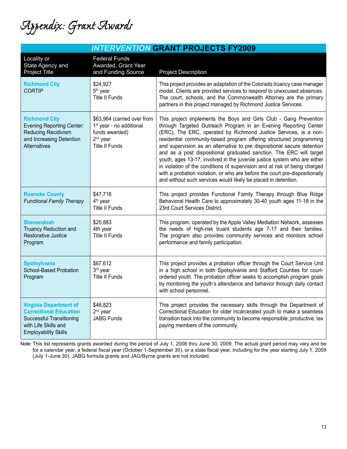*Appendix: Grant Awards*

|                                                                                                                                                          |                                                                                                                                        | <b>INTERVENTION GRANT PROJECTS FY2009</b>                                                                                                                                                                                                                                                                                                                                                                                                                                                                                                                                                                                                                                                                                                      |
|----------------------------------------------------------------------------------------------------------------------------------------------------------|----------------------------------------------------------------------------------------------------------------------------------------|------------------------------------------------------------------------------------------------------------------------------------------------------------------------------------------------------------------------------------------------------------------------------------------------------------------------------------------------------------------------------------------------------------------------------------------------------------------------------------------------------------------------------------------------------------------------------------------------------------------------------------------------------------------------------------------------------------------------------------------------|
| Locality or<br>State Agency and<br>Project Title                                                                                                         | <b>Federal Funds</b><br>Awarded, Grant Year<br>and Funding Source                                                                      | <b>Project Description</b>                                                                                                                                                                                                                                                                                                                                                                                                                                                                                                                                                                                                                                                                                                                     |
| <b>Richmond City</b><br><b>CORTIP</b>                                                                                                                    | \$24,927<br>5 <sup>th</sup> year<br><b>Title II Funds</b>                                                                              | This project provides an adaptation of the Colorado truancy case manager<br>model. Clients are provided services to respond to unexcused absences.<br>The court, schools, and the Commonwealth Attorney are the primary<br>partners in this project managed by Richmond Justice Services.                                                                                                                                                                                                                                                                                                                                                                                                                                                      |
| <b>Richmond City</b><br><b>Evening Reporting Center:</b><br><b>Reducing Recidivism</b><br>and Increasing Detention<br>Alternatives                       | \$63,964 (carried over from<br>1 <sup>st</sup> year - no additional<br>funds awarded)<br>2 <sup>nd</sup> year<br><b>Title II Funds</b> | This project implements the Boys and Girls Club - Gang Prevention<br>through Targeted Outreach Program in an Evening Reporting Center<br>(ERC). The ERC, operated by Richmond Justice Services, is a non-<br>residential community-based program offering structured programming<br>and supervision as an alternative to pre dispositional secure detention<br>and as a post dispositional graduated sanction. The ERC will target<br>youth, ages 13-17, involved in the juvenile justice system who are either<br>in violation of the conditions of supervision and at risk of being charged<br>with a probation violation, or who are before the court pre-dispositionally<br>and without such services would likely be placed in detention. |
| <b>Roanoke County</b><br><b>Functional Family Therapy</b>                                                                                                | \$47,716<br>4 <sup>th</sup> year<br><b>Title II Funds</b>                                                                              | This project provides Functional Family Therapy through Blue Ridge<br>Behavioral Health Care to approximately 30-40 youth ages 11-18 in the<br>23rd Court Services District.                                                                                                                                                                                                                                                                                                                                                                                                                                                                                                                                                                   |
| Shenandoah<br><b>Truancy Reduction and</b><br>Restorative Justice<br>Program                                                                             | \$25,883<br>4th year<br><b>Title II Funds</b>                                                                                          | This program, operated by the Apple Valley Mediation Network, assesses<br>the needs of high-risk truant students age 7-17 and their families.<br>The program also provides community services and monitors school<br>performance and family participation.                                                                                                                                                                                                                                                                                                                                                                                                                                                                                     |
| <b>Spotsylvania</b><br>School-Based Probation<br>Program                                                                                                 | \$67,612<br>3rd year<br><b>Title II Funds</b>                                                                                          | This project provides a probation officer through the Court Service Unit<br>in a high school in both Spotsylvania and Stafford Counties for court-<br>ordered youth. The probation officer seeks to accomplish program goals<br>by monitoring the youth's attendance and behavior through daily contact<br>with school personnel.                                                                                                                                                                                                                                                                                                                                                                                                              |
| <b>Virginia Department of</b><br><b>Correctional Education</b><br><b>Successful Transitioning</b><br>with Life Skills and<br><b>Employability Skills</b> | \$46,823<br>2 <sup>nd</sup> year<br><b>JABG Funds</b>                                                                                  | This project provides the necessary skills through the Department of<br>Correctional Education for older incarcerated youth to make a seamless<br>transition back into the community to become responsible, productive, tax<br>paying members of the community.                                                                                                                                                                                                                                                                                                                                                                                                                                                                                |

Note: This list represents grants awarded *during* the period of July 1, 2008 thru June 30, 2009. The actual grant period may vary and be for a calendar year, a federal fiscal year (October 1-September 30), or a state fiscal year, including for the year starting July 1, 2009 (July 1-June 30). JABG formula grants and JAG/Byrne grants are not included.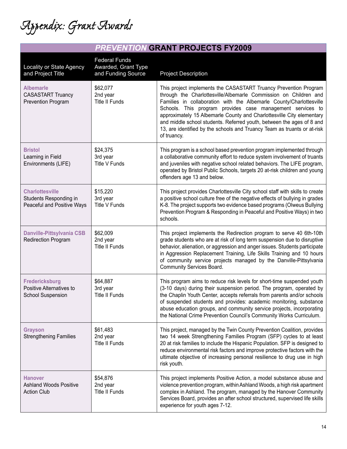*Appendix: Grant Awards*

|  | <b>PREVENTION GRANT PROJECTS FY2009</b> |  |
|--|-----------------------------------------|--|
|--|-----------------------------------------|--|

| Locality or State Agency<br>and Project Title                                  | <b>Federal Funds</b><br>Awarded, Grant Type<br>and Funding Source | <b>Project Description</b>                                                                                                                                                                                                                                                                                                                                                                                                                                                                                             |
|--------------------------------------------------------------------------------|-------------------------------------------------------------------|------------------------------------------------------------------------------------------------------------------------------------------------------------------------------------------------------------------------------------------------------------------------------------------------------------------------------------------------------------------------------------------------------------------------------------------------------------------------------------------------------------------------|
| <b>Albemarle</b><br><b>CASASTART Truancy</b><br><b>Prevention Program</b>      | \$62,077<br>2nd year<br>Title II Funds                            | This project implements the CASASTART Truancy Prevention Program<br>through the Charlottesville/Albemarle Commission on Children and<br>Families in collaboration with the Albemarle County/Charlottesville<br>Schools. This program provides case management services to<br>approximately 15 Albemarle County and Charlottesville City elementary<br>and middle school students. Referred youth, between the ages of 8 and<br>13, are identified by the schools and Truancy Team as truants or at-risk<br>of truancy. |
| <b>Bristol</b><br>Learning in Field<br>Environments (LIFE)                     | \$24,375<br>3rd year<br>Title V Funds                             | This program is a school based prevention program implemented through<br>a collaborative community effort to reduce system involvement of truants<br>and juveniles with negative school related behaviors. The LIFE program,<br>operated by Bristol Public Schools, targets 20 at-risk children and young<br>offenders age 13 and below.                                                                                                                                                                               |
| <b>Charlottesville</b><br>Students Responding in<br>Peaceful and Positive Ways | \$15,220<br>3rd year<br><b>Title V Funds</b>                      | This project provides Charlottesville City school staff with skills to create<br>a positive school culture free of the negative effects of bullying in grades<br>K-8. The project supports two evidence based programs (Olweus Bullying<br>Prevention Program & Responding in Peaceful and Positive Ways) in two<br>schools.                                                                                                                                                                                           |
| <b>Danville-Pittsylvania CSB</b><br><b>Redirection Program</b>                 | \$62,009<br>2nd year<br><b>Title II Funds</b>                     | This project implements the Redirection program to serve 40 6th-10th<br>grade students who are at risk of long term suspension due to disruptive<br>behavior, alienation, or aggression and anger issues. Students participate<br>in Aggression Replacement Training, Life Skills Training and 10 hours<br>of community service projects managed by the Danville-Pittsylvania<br>Community Services Board.                                                                                                             |
| <b>Fredericksburg</b><br>Positive Alternatives to<br><b>School Suspension</b>  | \$64,887<br>3rd year<br><b>Title II Funds</b>                     | This program aims to reduce risk levels for short-time suspended youth<br>(3-10 days) during their suspension period. The program, operated by<br>the Chaplin Youth Center, accepts referrals from parents and/or schools<br>of suspended students and provides: academic monitoring, substance<br>abuse education groups, and community service projects, incorporating<br>the National Crime Prevention Council's Community Works Curriculum.                                                                        |
| <b>Grayson</b><br><b>Strengthening Families</b>                                | \$61,483<br>2nd year<br><b>Title II Funds</b>                     | This project, managed by the Twin County Prevention Coalition, provides<br>two 14 week Strengthening Families Program (SFP) cycles to at least<br>20 at risk families to include the Hispanic Population. SFP is designed to<br>reduce environmental risk factors and improve protective factors with the<br>ultimate objective of increasing personal resilience to drug use in high<br>risk youth.                                                                                                                   |
| <b>Hanover</b><br><b>Ashland Woods Positive</b><br><b>Action Club</b>          | \$54,876<br>2nd year<br><b>Title II Funds</b>                     | This project implements Positive Action, a model substance abuse and<br>violence prevention program, within Ashland Woods, a high risk apartment<br>complex in Ashland. The program, managed by the Hanover Community<br>Services Board, provides an after school structured, supervised life skills<br>experience for youth ages 7-12.                                                                                                                                                                                |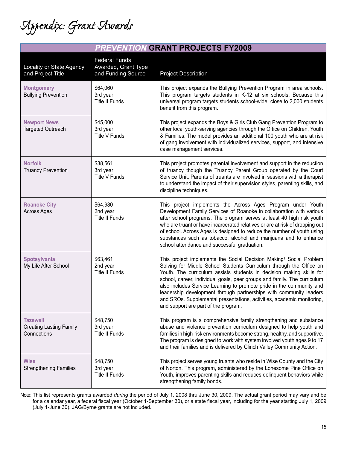*Appendix: Grant Awards*

| Locality or State Agency<br>and Project Title                    | <b>Federal Funds</b><br>Awarded, Grant Type<br>and Funding Source | <b>Project Description</b>                                                                                                                                                                                                                                                                                                                                                                                                                                                                                                                                    |
|------------------------------------------------------------------|-------------------------------------------------------------------|---------------------------------------------------------------------------------------------------------------------------------------------------------------------------------------------------------------------------------------------------------------------------------------------------------------------------------------------------------------------------------------------------------------------------------------------------------------------------------------------------------------------------------------------------------------|
| <b>Montgomery</b><br><b>Bullying Prevention</b>                  | \$64,060<br>3rd year<br><b>Title II Funds</b>                     | This project expands the Bullying Prevention Program in area schools.<br>This program targets students in K-12 at six schools. Because this<br>universal program targets students school-wide, close to 2,000 students<br>benefit from this program.                                                                                                                                                                                                                                                                                                          |
| <b>Newport News</b><br><b>Targeted Outreach</b>                  | \$45,000<br>3rd year<br>Title V Funds                             | This project expands the Boys & Girls Club Gang Prevention Program to<br>other local youth-serving agencies through the Office on Children, Youth<br>& Families. The model provides an additional 100 youth who are at risk<br>of gang involvement with individualized services, support, and intensive<br>case management services.                                                                                                                                                                                                                          |
| <b>Norfolk</b><br><b>Truancy Prevention</b>                      | \$38,561<br>3rd year<br>Title V Funds                             | This project promotes parental involvement and support in the reduction<br>of truancy though the Truancy Parent Group operated by the Court<br>Service Unit. Parents of truants are involved in sessions with a therapist<br>to understand the impact of their supervision styles, parenting skills, and<br>discipline techniques.                                                                                                                                                                                                                            |
| <b>Roanoke City</b><br><b>Across Ages</b>                        | \$64,980<br>2nd year<br><b>Title II Funds</b>                     | This project implements the Across Ages Program under Youth<br>Development Family Services of Roanoke in collaboration with various<br>after school programs. The program serves at least 40 high risk youth<br>who are truant or have incarcerated relatives or are at risk of dropping out<br>of school. Across Ages is designed to reduce the number of youth using<br>substances such as tobacco, alcohol and marijuana and to enhance<br>school attendance and successful graduation.                                                                    |
| <b>Spotsylvania</b><br>My Life After School                      | \$63,461<br>2nd year<br><b>Title II Funds</b>                     | This project implements the Social Decision Making/ Social Problem<br>Solving for Middle School Students Curriculum through the Office on<br>Youth. The curriculum assists students in decision making skills for<br>school, career, individual goals, peer groups and family. The curriculum<br>also includes Service Learning to promote pride in the community and<br>leadership development through partnerships with community leaders<br>and SROs. Supplemental presentations, activities, academic monitoring,<br>and support are part of the program. |
| <b>Tazewell</b><br><b>Creating Lasting Family</b><br>Connections | \$48,750<br>3rd year<br><b>Title II Funds</b>                     | This program is a comprehensive family strengthening and substance<br>abuse and violence prevention curriculum designed to help youth and<br>families in high-risk environments become strong, healthy, and supportive.<br>The program is designed to work with system involved youth ages 9 to 17<br>and their families and is delivered by Clinch Valley Community Action.                                                                                                                                                                                  |
| <b>Wise</b><br><b>Strengthening Families</b>                     | \$48,750<br>3rd year<br><b>Title II Funds</b>                     | This project serves young truants who reside in Wise County and the City<br>of Norton. This program, administered by the Lonesome Pine Office on<br>Youth, improves parenting skills and reduces delinquent behaviors while<br>strengthening family bonds.                                                                                                                                                                                                                                                                                                    |

Note: This list represents grants awarded *during* the period of July 1, 2008 thru June 30, 2009. The actual grant period may vary and be for a calendar year, a federal fiscal year (October 1-September 30), or a state fiscal year, including for the year starting July 1, 2009 (July 1-June 30). JAG/Byrne grants are not included.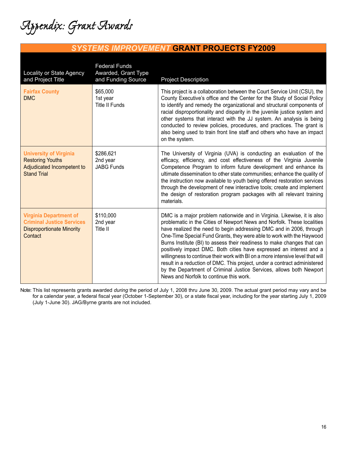*Appendix: Grant Awards*

### *SYSTEMS IMPROVEMENT* **GRANT PROJECTS FY2009**

| <b>Locality or State Agency</b><br>and Project Title                                                             | <b>Federal Funds</b><br>Awarded, Grant Type<br>and Funding Source | <b>Project Description</b>                                                                                                                                                                                                                                                                                                                                                                                                                                                                                                                                                                                                                                                                                                            |
|------------------------------------------------------------------------------------------------------------------|-------------------------------------------------------------------|---------------------------------------------------------------------------------------------------------------------------------------------------------------------------------------------------------------------------------------------------------------------------------------------------------------------------------------------------------------------------------------------------------------------------------------------------------------------------------------------------------------------------------------------------------------------------------------------------------------------------------------------------------------------------------------------------------------------------------------|
| <b>Fairfax County</b><br><b>DMC</b>                                                                              | \$65,000<br>1st year<br><b>Title II Funds</b>                     | This project is a collaboration between the Court Service Unit (CSU), the<br>County Executive's office and the Center for the Study of Social Policy<br>to identify and remedy the organizational and structural components of<br>racial disproportionality and disparity in the juvenile justice system and<br>other systems that interact with the JJ system. An analysis is being<br>conducted to review policies, procedures, and practices. The grant is<br>also being used to train front line staff and others who have an impact<br>on the system.                                                                                                                                                                            |
| <b>University of Virginia</b><br><b>Restoring Youths</b><br>Adjudicated Incompetent to<br><b>Stand Trial</b>     | \$286,621<br>2nd year<br><b>JABG Funds</b>                        | The University of Virginia (UVA) is conducting an evaluation of the<br>efficacy, efficiency, and cost effectiveness of the Virginia Juvenile<br>Competence Program to inform future development and enhance its<br>ultimate dissemination to other state communities; enhance the quality of<br>the instruction now available to youth being offered restoration services<br>through the development of new interactive tools; create and implement<br>the design of restoration program packages with all relevant training<br>materials.                                                                                                                                                                                            |
| <b>Virginia Department of</b><br><b>Criminal Justice Services</b><br><b>Disproportionate Minority</b><br>Contact | \$110,000<br>2nd year<br>Title II                                 | DMC is a major problem nationwide and in Virginia. Likewise, it is also<br>problematic in the Cities of Newport News and Norfolk. These localities<br>have realized the need to begin addressing DMC and in 2006, through<br>One-Time Special Fund Grants, they were able to work with the Haywood<br>Burns Institute (BI) to assess their readiness to make changes that can<br>positively impact DMC. Both cities have expressed an interest and a<br>willingness to continue their work with BI on a more intensive level that will<br>result in a reduction of DMC. This project, under a contract administered<br>by the Department of Criminal Justice Services, allows both Newport<br>News and Norfolk to continue this work. |

Note: This list represents grants awarded *during* the period of July 1, 2008 thru June 30, 2009. The actual grant period may vary and be for a calendar year, a federal fiscal year (October 1-September 30), or a state fiscal year, including for the year starting July 1, 2009 (July 1-June 30). JAG/Byrne grants are not included.